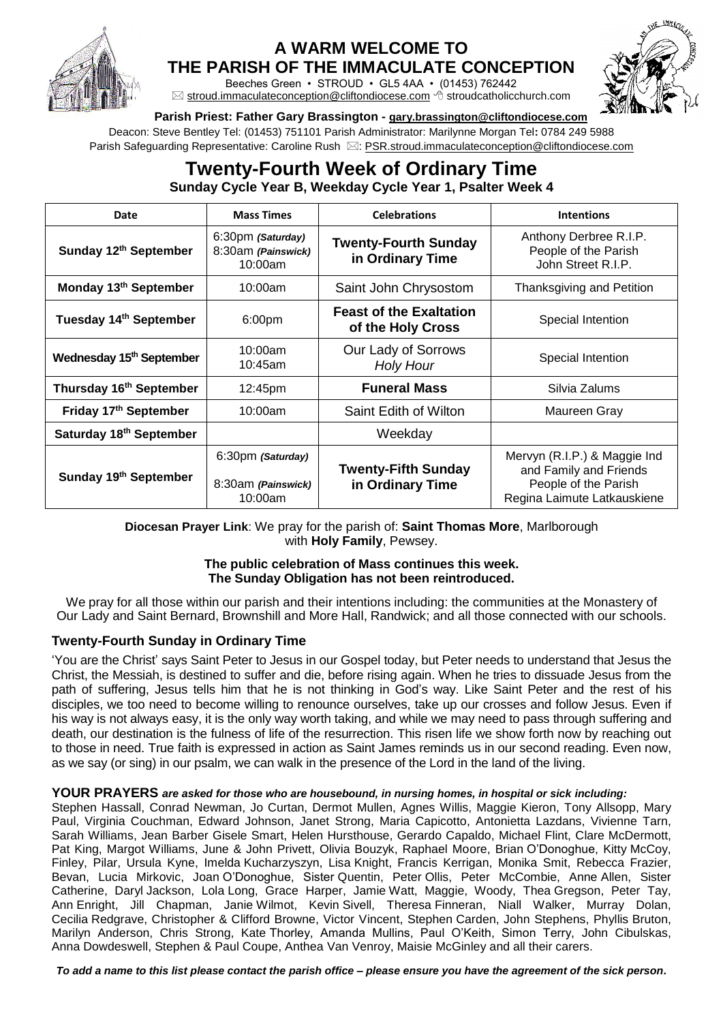

# **A WARM WELCOME TO**

**THE PARISH OF THE IMMACULATE CONCEPTION**

Beeches Green • STROUD • GL5 4AA • (01453) 762442  $\boxtimes$  [stroud.immaculateconception@cliftondiocese.com](mailto:stroud.immaculateconception@cliftondiocese.com)  $\triangleleft$  stroudcatholicchurch.com



### **Parish Priest: Father Gary Brassington - [gary.brassington@cliftondiocese.com](mailto:gary.brassington@cliftondiocese.com)**

Deacon: Steve Bentley Tel: (01453) 751101 Parish Administrator: Marilynne Morgan Tel**:** 0784 249 5988 Parish Safeguarding Representative: Caroline Rush  $\boxtimes$ [: PSR.stroud.immaculateconception@cliftondiocese.com](mailto:PSR.stroud.immaculateconception@cliftondiocese.com)

## **Twenty-Fourth Week of Ordinary Time Sunday Cycle Year B, Weekday Cycle Year 1, Psalter Week 4**

| Date                                 | <b>Mass Times</b>                                  | <b>Celebrations</b>                                 | <b>Intentions</b>                                                                                             |
|--------------------------------------|----------------------------------------------------|-----------------------------------------------------|---------------------------------------------------------------------------------------------------------------|
| Sunday 12th September                | 6:30pm (Saturday)<br>8:30am (Painswick)<br>10:00am | <b>Twenty-Fourth Sunday</b><br>in Ordinary Time     | Anthony Derbree R.I.P.<br>People of the Parish<br>John Street R.I.P.                                          |
| Monday 13 <sup>th</sup> September    | 10:00am                                            | Saint John Chrysostom                               | Thanksgiving and Petition                                                                                     |
| Tuesday 14th September               | 6:00 <sub>pm</sub>                                 | <b>Feast of the Exaltation</b><br>of the Holy Cross | Special Intention                                                                                             |
| Wednesday 15 <sup>th</sup> September | 10:00am<br>10:45am                                 | Our Lady of Sorrows<br><b>Holy Hour</b>             | Special Intention                                                                                             |
| Thursday 16th September              | 12:45pm                                            | <b>Funeral Mass</b>                                 | Silvia Zalums                                                                                                 |
| Friday 17th September                | 10:00am                                            | Saint Edith of Wilton                               | Maureen Gray                                                                                                  |
| Saturday 18th September              |                                                    | Weekday                                             |                                                                                                               |
| Sunday 19th September                | 6:30pm (Saturday)<br>8:30am (Painswick)<br>10:00am | <b>Twenty-Fifth Sunday</b><br>in Ordinary Time      | Mervyn (R.I.P.) & Maggie Ind<br>and Family and Friends<br>People of the Parish<br>Regina Laimute Latkauskiene |

**Diocesan Prayer Link**: We pray for the parish of: **Saint Thomas More**, Marlborough with **Holy Family**, Pewsey.

### **The public celebration of Mass continues this week. The Sunday Obligation has not been reintroduced.**

We pray for all those within our parish and their intentions including: the communities at the Monastery of Our Lady and Saint Bernard, Brownshill and More Hall, Randwick; and all those connected with our schools.

### **Twenty-Fourth Sunday in Ordinary Time**

'You are the Christ' says Saint Peter to Jesus in our Gospel today, but Peter needs to understand that Jesus the Christ, the Messiah, is destined to suffer and die, before rising again. When he tries to dissuade Jesus from the path of suffering, Jesus tells him that he is not thinking in God's way. Like Saint Peter and the rest of his disciples, we too need to become willing to renounce ourselves, take up our crosses and follow Jesus. Even if his way is not always easy, it is the only way worth taking, and while we may need to pass through suffering and death, our destination is the fulness of life of the resurrection. This risen life we show forth now by reaching out to those in need. True faith is expressed in action as Saint James reminds us in our second reading. Even now, as we say (or sing) in our psalm, we can walk in the presence of the Lord in the land of the living.

#### **YOUR PRAYERS** *are asked for those who are housebound, in nursing homes, in hospital or sick including:*

Stephen Hassall, Conrad Newman, Jo Curtan, Dermot Mullen, Agnes Willis, Maggie Kieron, Tony Allsopp, Mary Paul, Virginia Couchman, Edward Johnson, Janet Strong, Maria Capicotto, Antonietta Lazdans, Vivienne Tarn, Sarah Williams, Jean Barber Gisele Smart, Helen Hursthouse, Gerardo Capaldo, Michael Flint, Clare McDermott, Pat King, Margot Williams, June & John Privett, Olivia Bouzyk, Raphael Moore, Brian O'Donoghue, Kitty McCoy, Finley, Pilar, Ursula Kyne, Imelda Kucharzyszyn, Lisa Knight, Francis Kerrigan, Monika Smit, Rebecca Frazier, Bevan, Lucia Mirkovic, Joan O'Donoghue, Sister Quentin, Peter Ollis, Peter McCombie, Anne Allen, Sister Catherine, Daryl Jackson, Lola Long, Grace Harper, Jamie Watt, Maggie, Woody, Thea Gregson, Peter Tay, Ann Enright, Jill Chapman, Janie Wilmot, Kevin Sivell, Theresa Finneran, Niall Walker, Murray Dolan, Cecilia Redgrave, Christopher & Clifford Browne, Victor Vincent, Stephen Carden, John Stephens, Phyllis Bruton, Marilyn Anderson, Chris Strong, Kate Thorley, Amanda Mullins, Paul O'Keith, Simon Terry, John Cibulskas, Anna Dowdeswell, Stephen & Paul Coupe, Anthea Van Venroy, Maisie McGinley and all their carers.

*To add a name to this list please contact the parish office – please ensure you have the agreement of the sick person.*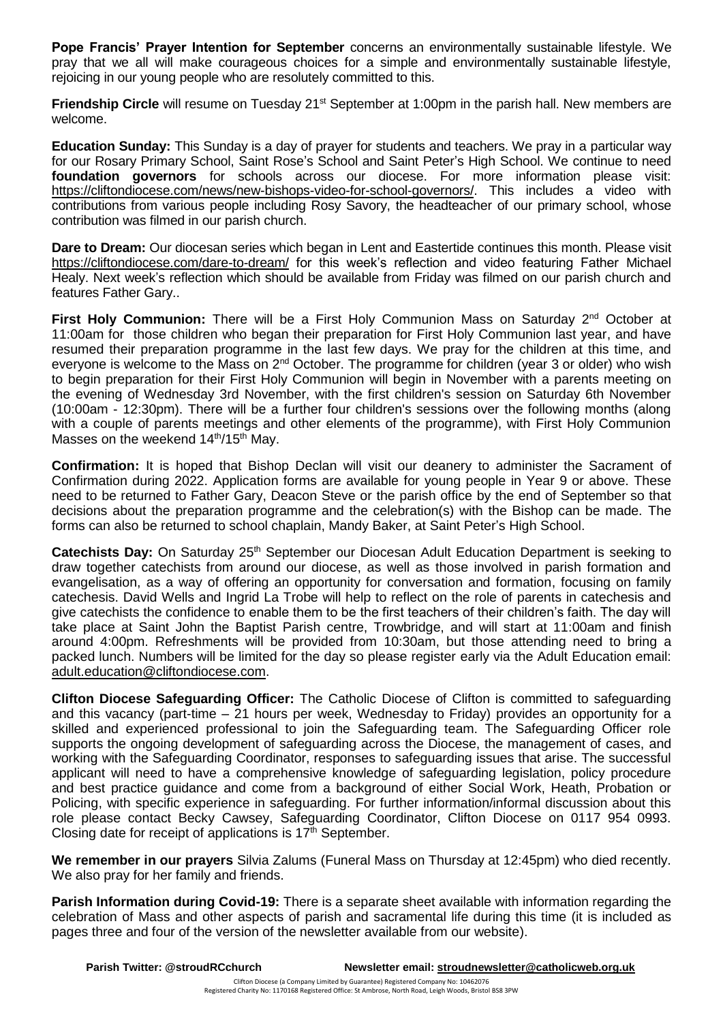**Pope Francis' Prayer Intention for September** concerns an environmentally sustainable lifestyle. We pray that we all will make courageous choices for a simple and environmentally sustainable lifestyle, rejoicing in our young people who are resolutely committed to this.

**Friendship Circle** will resume on Tuesday 21<sup>st</sup> September at 1:00pm in the parish hall. New members are welcome.

**Education Sunday:** This Sunday is a day of prayer for students and teachers. We pray in a particular way for our Rosary Primary School, Saint Rose's School and Saint Peter's High School. We continue to need **foundation governors** for schools across our diocese. For more information please visit: [https://cliftondiocese.com/news/new-bishops-video-for-school-governors/.](https://cliftondiocese.com/news/new-bishops-video-for-school-governors/) This includes a video with contributions from various people including Rosy Savory, the headteacher of our primary school, whose contribution was filmed in our parish church.

**Dare to Dream:** Our diocesan series which began in Lent and Eastertide continues this month. Please visit <https://cliftondiocese.com/dare-to-dream/> for this week's reflection and video featuring Father Michael Healy. Next week's reflection which should be available from Friday was filmed on our parish church and features Father Gary..

**First Holy Communion:** There will be a First Holy Communion Mass on Saturday 2<sup>nd</sup> October at 11:00am for those children who began their preparation for First Holy Communion last year, and have resumed their preparation programme in the last few days. We pray for the children at this time, and everyone is welcome to the Mass on 2<sup>nd</sup> October. The programme for children (year 3 or older) who wish to begin preparation for their First Holy Communion will begin in November with a parents meeting on the evening of Wednesday 3rd November, with the first children's session on Saturday 6th November (10:00am - 12:30pm). There will be a further four children's sessions over the following months (along with a couple of parents meetings and other elements of the programme), with First Holy Communion Masses on the weekend  $14<sup>th</sup>/15<sup>th</sup>$  May.

**Confirmation:** It is hoped that Bishop Declan will visit our deanery to administer the Sacrament of Confirmation during 2022. Application forms are available for young people in Year 9 or above. These need to be returned to Father Gary, Deacon Steve or the parish office by the end of September so that decisions about the preparation programme and the celebration(s) with the Bishop can be made. The forms can also be returned to school chaplain, Mandy Baker, at Saint Peter's High School.

**Catechists Day:** On Saturday 25<sup>th</sup> September our Diocesan Adult Education Department is seeking to draw together catechists from around our diocese, as well as those involved in parish formation and evangelisation, as a way of offering an opportunity for conversation and formation, focusing on family catechesis. David Wells and Ingrid La Trobe will help to reflect on the role of parents in catechesis and give catechists the confidence to enable them to be the first teachers of their children's faith. The day will take place at Saint John the Baptist Parish centre, Trowbridge, and will start at 11:00am and finish around 4:00pm. Refreshments will be provided from 10:30am, but those attending need to bring a packed lunch. Numbers will be limited for the day so please register early via the Adult Education email: [adult.education@cliftondiocese.com.](mailto:adult.education@cliftondiocese.com)

**Clifton Diocese Safeguarding Officer:** The Catholic Diocese of Clifton is committed to safeguarding and this vacancy (part-time  $-21$  hours per week. Wednesday to Friday) provides an opportunity for a skilled and experienced professional to join the Safeguarding team. The Safeguarding Officer role supports the ongoing development of safeguarding across the Diocese, the management of cases, and working with the Safeguarding Coordinator, responses to safeguarding issues that arise. The successful applicant will need to have a comprehensive knowledge of safeguarding legislation, policy procedure and best practice guidance and come from a background of either Social Work, Heath, Probation or Policing, with specific experience in safeguarding. For further information/informal discussion about this role please contact Becky Cawsey, Safeguarding Coordinator, Clifton Diocese on 0117 954 0993. Closing date for receipt of applications is  $17<sup>th</sup>$  September.

**We remember in our prayers** Silvia Zalums (Funeral Mass on Thursday at 12:45pm) who died recently. We also pray for her family and friends.

**Parish Information during Covid-19:** There is a separate sheet available with information regarding the celebration of Mass and other aspects of parish and sacramental life during this time (it is included as pages three and four of the version of the newsletter available from our website).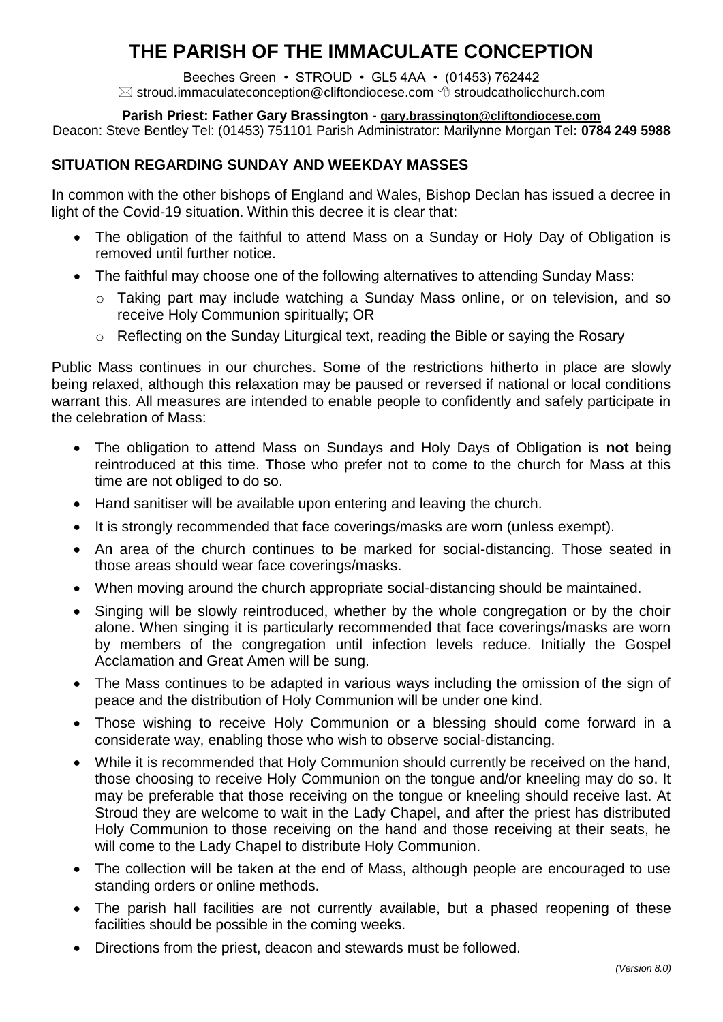# **THE PARISH OF THE IMMACULATE CONCEPTION**

Beeches Green • STROUD • GL5 4AA • (01453) 762442  $\boxtimes$  [stroud.immaculateconception@cliftondiocese.com](mailto:stroud.immaculateconception@cliftondiocese.com)  $\triangleleft$  stroudcatholicchurch.com

### **Parish Priest: Father Gary Brassington - [gary.brassington@cliftondiocese.com](mailto:gary.brassington@cliftondiocese.com)**

Deacon: Steve Bentley Tel: (01453) 751101 Parish Administrator: Marilynne Morgan Tel**: 0784 249 5988**

# **SITUATION REGARDING SUNDAY AND WEEKDAY MASSES**

In common with the other bishops of England and Wales, Bishop Declan has issued a decree in light of the Covid-19 situation. Within this decree it is clear that:

- The obligation of the faithful to attend Mass on a Sunday or Holy Day of Obligation is removed until further notice.
- The faithful may choose one of the following alternatives to attending Sunday Mass:
	- o Taking part may include watching a Sunday Mass online, or on television, and so receive Holy Communion spiritually; OR
	- o Reflecting on the Sunday Liturgical text, reading the Bible or saying the Rosary

Public Mass continues in our churches. Some of the restrictions hitherto in place are slowly being relaxed, although this relaxation may be paused or reversed if national or local conditions warrant this. All measures are intended to enable people to confidently and safely participate in the celebration of Mass:

- The obligation to attend Mass on Sundays and Holy Days of Obligation is **not** being reintroduced at this time. Those who prefer not to come to the church for Mass at this time are not obliged to do so.
- Hand sanitiser will be available upon entering and leaving the church.
- It is strongly recommended that face coverings/masks are worn (unless exempt).
- An area of the church continues to be marked for social-distancing. Those seated in those areas should wear face coverings/masks.
- When moving around the church appropriate social-distancing should be maintained.
- Singing will be slowly reintroduced, whether by the whole congregation or by the choir alone. When singing it is particularly recommended that face coverings/masks are worn by members of the congregation until infection levels reduce. Initially the Gospel Acclamation and Great Amen will be sung.
- The Mass continues to be adapted in various ways including the omission of the sign of peace and the distribution of Holy Communion will be under one kind.
- Those wishing to receive Holy Communion or a blessing should come forward in a considerate way, enabling those who wish to observe social-distancing.
- While it is recommended that Holy Communion should currently be received on the hand, those choosing to receive Holy Communion on the tongue and/or kneeling may do so. It may be preferable that those receiving on the tongue or kneeling should receive last. At Stroud they are welcome to wait in the Lady Chapel, and after the priest has distributed Holy Communion to those receiving on the hand and those receiving at their seats, he will come to the Lady Chapel to distribute Holy Communion.
- The collection will be taken at the end of Mass, although people are encouraged to use standing orders or online methods.
- The parish hall facilities are not currently available, but a phased reopening of these facilities should be possible in the coming weeks.
- Directions from the priest, deacon and stewards must be followed.